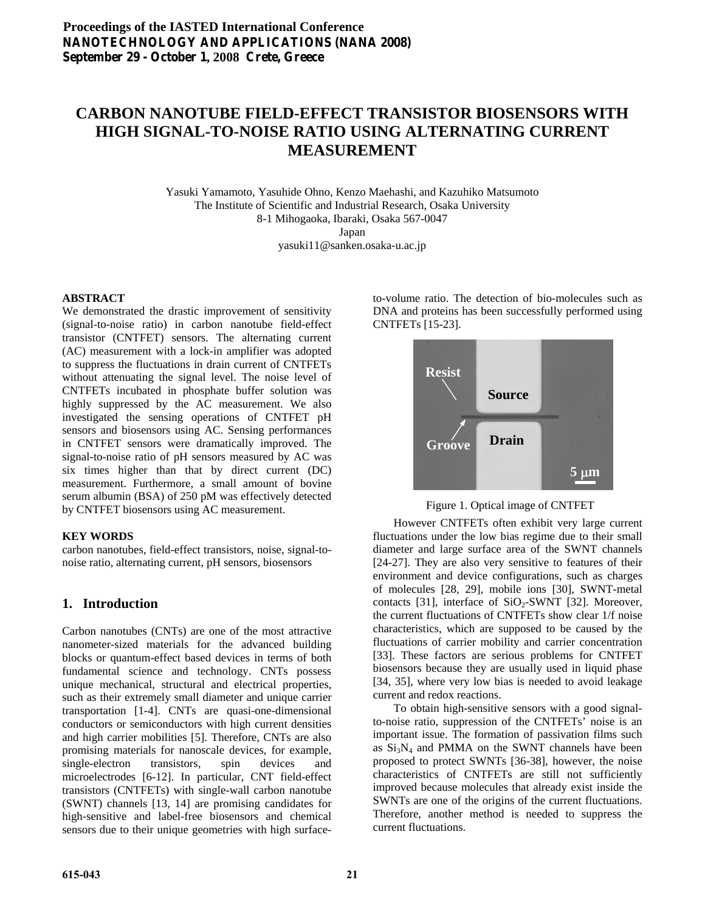# **CARBON NANOTUBE FIELD-EFFECT TRANSISTOR BIOSENSORS WITH HIGH SIGNAL-TO-NOISE RATIO USING ALTERNATING CURRENT MEASUREMENT**

Yasuki Yamamoto, Yasuhide Ohno, Kenzo Maehashi, and Kazuhiko Matsumoto The Institute of Scientific and Industrial Research, Osaka University 8-1 Mihogaoka, Ibaraki, Osaka 567-0047 Japan yasuki11@sanken.osaka-u.ac.jp

#### **ABSTRACT**

We demonstrated the drastic improvement of sensitivity (signal-to-noise ratio) in carbon nanotube field-effect transistor (CNTFET) sensors. The alternating current (AC) measurement with a lock-in amplifier was adopted to suppress the fluctuations in drain current of CNTFETs without attenuating the signal level. The noise level of CNTFETs incubated in phosphate buffer solution was highly suppressed by the AC measurement. We also investigated the sensing operations of CNTFET pH sensors and biosensors using AC. Sensing performances in CNTFET sensors were dramatically improved. The signal-to-noise ratio of pH sensors measured by AC was six times higher than that by direct current (DC) measurement. Furthermore, a small amount of bovine serum albumin (BSA) of 250 pM was effectively detected by CNTFET biosensors using AC measurement.

#### **KEY WORDS**

carbon nanotubes, field-effect transistors, noise, signal-tonoise ratio, alternating current, pH sensors, biosensors

## **1. Introduction**

Carbon nanotubes (CNTs) are one of the most attractive nanometer-sized materials for the advanced building blocks or quantum-effect based devices in terms of both fundamental science and technology. CNTs possess unique mechanical, structural and electrical properties, such as their extremely small diameter and unique carrier transportation [1-4]. CNTs are quasi-one-dimensional conductors or semiconductors with high current densities and high carrier mobilities [5]. Therefore, CNTs are also promising materials for nanoscale devices, for example, single-electron transistors, spin devices and microelectrodes [6-12]. In particular, CNT field-effect transistors (CNTFETs) with single-wall carbon nanotube (SWNT) channels [13, 14] are promising candidates for high-sensitive and label-free biosensors and chemical sensors due to their unique geometries with high surfaceto-volume ratio. The detection of bio-molecules such as DNA and proteins has been successfully performed using CNTFETs [15-23].



Figure 1. Optical image of CNTFET

 However CNTFETs often exhibit very large current fluctuations under the low bias regime due to their small diameter and large surface area of the SWNT channels [24-27]. They are also very sensitive to features of their environment and device configurations, such as charges of molecules [28, 29], mobile ions [30], SWNT-metal contacts [31], interface of  $SiO<sub>2</sub>-SWNT$  [32]. Moreover, the current fluctuations of CNTFETs show clear 1/f noise characteristics, which are supposed to be caused by the fluctuations of carrier mobility and carrier concentration [33]. These factors are serious problems for CNTFET biosensors because they are usually used in liquid phase [34, 35], where very low bias is needed to avoid leakage current and redox reactions.

 To obtain high-sensitive sensors with a good signalto-noise ratio, suppression of the CNTFETs' noise is an important issue. The formation of passivation films such as  $Si<sub>3</sub>N<sub>4</sub>$  and PMMA on the SWNT channels have been proposed to protect SWNTs [36-38], however, the noise characteristics of CNTFETs are still not sufficiently improved because molecules that already exist inside the SWNTs are one of the origins of the current fluctuations. Therefore, another method is needed to suppress the current fluctuations.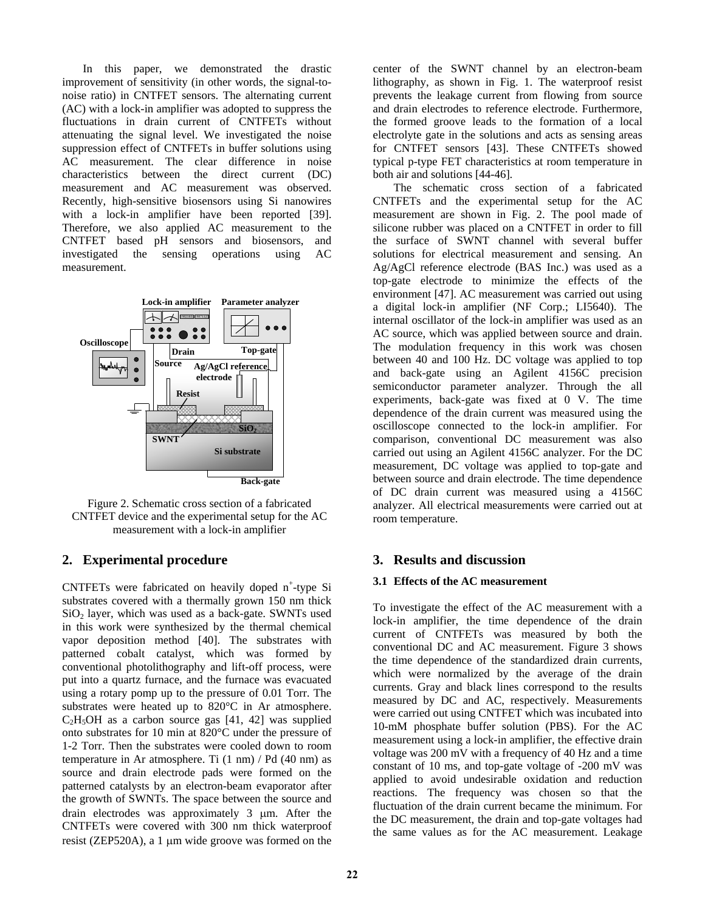In this paper, we demonstrated the drastic improvement of sensitivity (in other words, the signal-tonoise ratio) in CNTFET sensors. The alternating current (AC) with a lock-in amplifier was adopted to suppress the fluctuations in drain current of CNTFETs without attenuating the signal level. We investigated the noise suppression effect of CNTFETs in buffer solutions using AC measurement. The clear difference in noise characteristics between the direct current (DC) measurement and AC measurement was observed. Recently, high-sensitive biosensors using Si nanowires with a lock-in amplifier have been reported [39]. Therefore, we also applied AC measurement to the CNTFET based pH sensors and biosensors, and investigated the sensing operations using AC measurement.



Figure 2. Schematic cross section of a fabricated CNTFET device and the experimental setup for the AC measurement with a lock-in amplifier

## **2. Experimental procedure**

CNTFETs were fabricated on heavily doped  $n^+$ -type Si substrates covered with a thermally grown 150 nm thick  $SiO<sub>2</sub>$  layer, which was used as a back-gate. SWNTs used in this work were synthesized by the thermal chemical vapor deposition method [40]. The substrates with patterned cobalt catalyst, which was formed by conventional photolithography and lift-off process, were put into a quartz furnace, and the furnace was evacuated using a rotary pomp up to the pressure of 0.01 Torr. The substrates were heated up to 820°C in Ar atmosphere.  $C<sub>2</sub>H<sub>5</sub>OH$  as a carbon source gas [41, 42] was supplied onto substrates for 10 min at 820°C under the pressure of 1-2 Torr. Then the substrates were cooled down to room temperature in Ar atmosphere. Ti (1 nm) / Pd (40 nm) as source and drain electrode pads were formed on the patterned catalysts by an electron-beam evaporator after the growth of SWNTs. The space between the source and drain electrodes was approximately 3 μm. After the CNTFETs were covered with 300 nm thick waterproof resist (ZEP520A), a 1 μm wide groove was formed on the

center of the SWNT channel by an electron-beam lithography, as shown in Fig. 1. The waterproof resist prevents the leakage current from flowing from source and drain electrodes to reference electrode. Furthermore, the formed groove leads to the formation of a local electrolyte gate in the solutions and acts as sensing areas for CNTFET sensors [43]. These CNTFETs showed typical p-type FET characteristics at room temperature in both air and solutions [44-46].

 The schematic cross section of a fabricated CNTFETs and the experimental setup for the AC measurement are shown in Fig. 2. The pool made of silicone rubber was placed on a CNTFET in order to fill the surface of SWNT channel with several buffer solutions for electrical measurement and sensing. An Ag/AgCl reference electrode (BAS Inc.) was used as a top-gate electrode to minimize the effects of the environment [47]. AC measurement was carried out using a digital lock-in amplifier (NF Corp.; LI5640). The internal oscillator of the lock-in amplifier was used as an AC source, which was applied between source and drain. The modulation frequency in this work was chosen between 40 and 100 Hz. DC voltage was applied to top and back-gate using an Agilent 4156C precision semiconductor parameter analyzer. Through the all experiments, back-gate was fixed at 0 V. The time dependence of the drain current was measured using the oscilloscope connected to the lock-in amplifier. For comparison, conventional DC measurement was also carried out using an Agilent 4156C analyzer. For the DC measurement, DC voltage was applied to top-gate and between source and drain electrode. The time dependence of DC drain current was measured using a 4156C analyzer. All electrical measurements were carried out at room temperature.

### **3. Results and discussion**

#### **3.1 Effects of the AC measurement**

To investigate the effect of the AC measurement with a lock-in amplifier, the time dependence of the drain current of CNTFETs was measured by both the conventional DC and AC measurement. Figure 3 shows the time dependence of the standardized drain currents, which were normalized by the average of the drain currents. Gray and black lines correspond to the results measured by DC and AC, respectively. Measurements were carried out using CNTFET which was incubated into 10-mM phosphate buffer solution (PBS). For the AC measurement using a lock-in amplifier, the effective drain voltage was 200 mV with a frequency of 40 Hz and a time constant of 10 ms, and top-gate voltage of -200 mV was applied to avoid undesirable oxidation and reduction reactions. The frequency was chosen so that the fluctuation of the drain current became the minimum. For the DC measurement, the drain and top-gate voltages had the same values as for the AC measurement. Leakage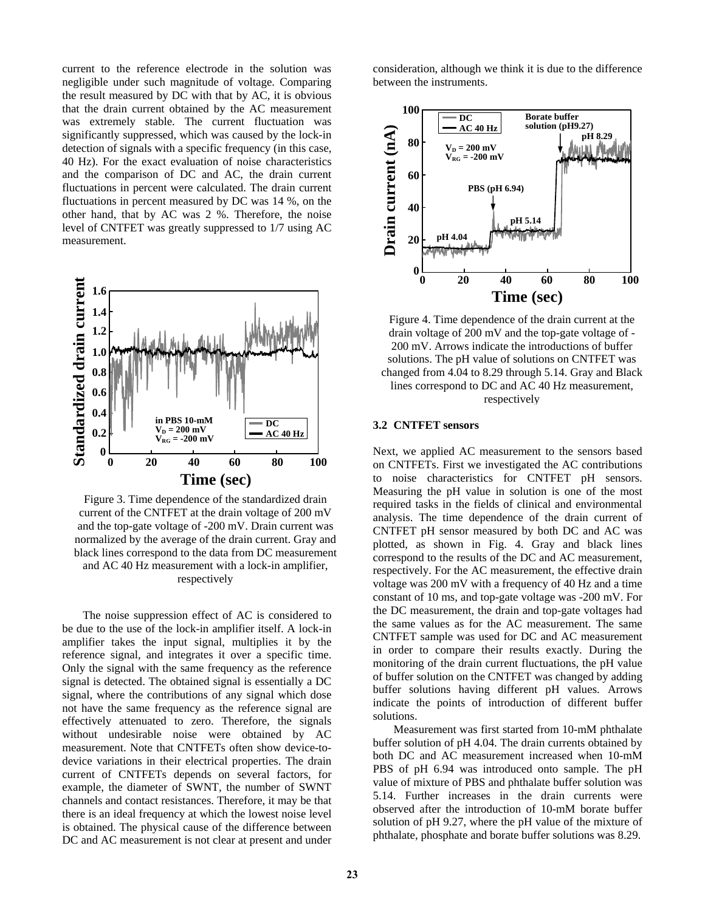current to the reference electrode in the solution was negligible under such magnitude of voltage. Comparing the result measured by DC with that by AC, it is obvious that the drain current obtained by the AC measurement was extremely stable. The current fluctuation was significantly suppressed, which was caused by the lock-in detection of signals with a specific frequency (in this case, 40 Hz). For the exact evaluation of noise characteristics and the comparison of DC and AC, the drain current fluctuations in percent were calculated. The drain current fluctuations in percent measured by DC was 14 %, on the other hand, that by AC was 2 %. Therefore, the noise level of CNTFET was greatly suppressed to 1/7 using AC measurement.



Figure 3. Time dependence of the standardized drain current of the CNTFET at the drain voltage of 200 mV and the top-gate voltage of -200 mV. Drain current was normalized by the average of the drain current. Gray and black lines correspond to the data from DC measurement and AC 40 Hz measurement with a lock-in amplifier, respectively

 The noise suppression effect of AC is considered to be due to the use of the lock-in amplifier itself. A lock-in amplifier takes the input signal, multiplies it by the reference signal, and integrates it over a specific time. Only the signal with the same frequency as the reference signal is detected. The obtained signal is essentially a DC signal, where the contributions of any signal which dose not have the same frequency as the reference signal are effectively attenuated to zero. Therefore, the signals without undesirable noise were obtained by AC measurement. Note that CNTFETs often show device-todevice variations in their electrical properties. The drain current of CNTFETs depends on several factors, for example, the diameter of SWNT, the number of SWNT channels and contact resistances. Therefore, it may be that there is an ideal frequency at which the lowest noise level is obtained. The physical cause of the difference between DC and AC measurement is not clear at present and under

consideration, although we think it is due to the difference between the instruments.



Figure 4. Time dependence of the drain current at the drain voltage of 200 mV and the top-gate voltage of - 200 mV. Arrows indicate the introductions of buffer solutions. The pH value of solutions on CNTFET was changed from 4.04 to 8.29 through 5.14. Gray and Black lines correspond to DC and AC 40 Hz measurement, res pectively

#### **3.2 CNTFET sensors**

Next, we applied AC measurement to the sensors based on CNTFETs. First we investigated the AC contributions to noise characteristics for CNTFET pH sensors. Measuring the pH value in solution is one of the most required tasks in the fields of clinical and environmental analysis. The time dependence of the drain current of CNTFET pH sensor measured by both DC and AC was plotted, as shown in Fig. 4. Gray and black lines correspond to the results of the DC and AC measurement, respectively. For the AC measurement, the effective drain voltage was 200 mV with a frequency of 40 Hz and a time constant of 10 ms, and top-gate voltage was -200 mV. For the DC measurement, the drain and top-gate voltages had the same values as for the AC measurement. The same CNTFET sample was used for DC and AC measurement in order to compare their results exactly. During the monitoring of the drain current fluctuations, the pH value of buffer solution on the CNTFET was changed by adding buffer solutions having different pH values. Arrows indicate the points of introduction of different buffer solutions.

 Measurement was first started from 10-mM phthalate buffer solution of pH 4.04. The drain currents obtained by both DC and AC measurement increased when 10-mM PBS of pH 6.94 was introduced onto sample. The pH value of mixture of PBS and phthalate buffer solution was 5.14. Further increases in the drain currents were observed after the introduction of 10-mM borate buffer solution of pH 9.27, where the pH value of the mixture of phthalate, phosphate and borate buffer solutions was 8.29.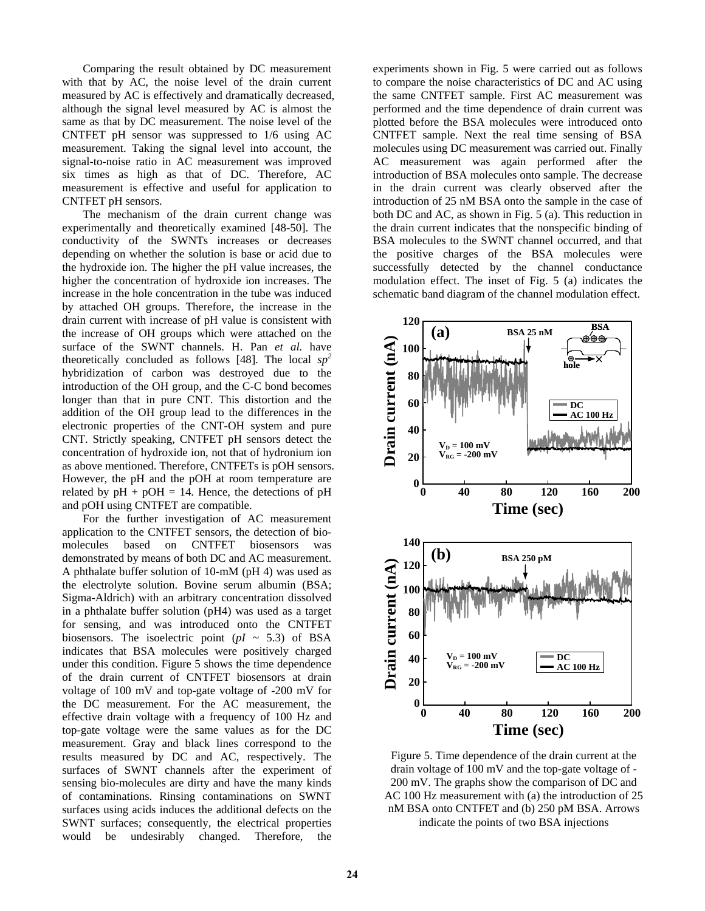Comparing the result obtained by DC measurement with that by AC, the noise level of the drain current measured by AC is effectively and dramatically decreased, although the signal level measured by AC is almost the same as that by DC measurement. The noise level of the CNTFET pH sensor was suppressed to 1/6 using AC measurement. Taking the signal level into account, the signal-to-noise ratio in AC measurement was improved six times as high as that of DC. Therefore, AC measurement is effective and useful for application to CNTFET pH sensors.

 The mechanism of the drain current change was experimentally and theoretically examined [48-50]. The conductivity of the SWNTs increases or decreases depending on whether the solution is base or acid due to the hydroxide ion. The higher the pH value increases, the higher the concentration of hydroxide ion increases. The increase in the hole concentration in the tube was induced by attached OH groups. Therefore, the increase in the drain current with increase of pH value is consistent with the increase of OH groups which were attached on the surface of the SWNT channels. H. Pan *et al.* have theoretically concluded as follows [48]. The local *sp<sup>2</sup>* hybridization of carbon was destroyed due to the introduction of the OH group, and the C-C bond becomes longer than that in pure CNT. This distortion and the addition of the OH group lead to the differences in the electronic properties of the CNT-OH system and pure CNT. Strictly speaking, CNTFET pH sensors detect the concentration of hydroxide ion, not that of hydronium ion as above mentioned. Therefore, CNTFETs is pOH sensors. However, the pH and the pOH at room temperature are related by  $pH + pOH = 14$ . Hence, the detections of  $pH$ and pOH using CNTFET are compatible.

 For the further investigation of AC measurement application to the CNTFET sensors, the detection of biomolecules based on CNTFET biosensors was demonstrated by means of both DC and AC measurement. A phthalate buffer solution of 10-mM (pH 4) was used as the electrolyte solution. Bovine serum albumin (BSA; Sigma-Aldrich) with an arbitrary concentration dissolved in a phthalate buffer solution (pH4) was used as a target for sensing, and was introduced onto the CNTFET biosensors. The isoelectric point  $(pI \sim 5.3)$  of BSA indicates that BSA molecules were positively charged under this condition. Figure 5 shows the time dependence of the drain current of CNTFET biosensors at drain voltage of 100 mV and top-gate voltage of -200 mV for the DC measurement. For the AC measurement, the effective drain voltage with a frequency of 100 Hz and top-gate voltage were the same values as for the DC measurement. Gray and black lines correspond to the results measured by DC and AC, respectively. The surfaces of SWNT channels after the experiment of sensing bio-molecules are dirty and have the many kinds of contaminations. Rinsing contaminations on SWNT surfaces using acids induces the additional defects on the SWNT surfaces; consequently, the electrical properties would be undesirably changed. Therefore, the experiments shown in Fig. 5 were carried out as follows to compare the noise characteristics of DC and AC using the same CNTFET sample. First AC measurement was performed and the time dependence of drain current was plotted before the BSA molecules were introduced onto CNTFET sample. Next the real time sensing of BSA molecules using DC measurement was carried out. Finally AC measurement was again performed after the introduction of BSA molecules onto sample. The decrease in the drain current was clearly observed after the introduction of 25 nM BSA onto the sample in the case of both DC and AC, as shown in Fig. 5 (a). This reduction in the drain current indicates that the nonspecific binding of BSA molecules to the SWNT channel occurred, and that the positive charges of the BSA molecules were successfully detected by the channel conductance modulation effect. The inset of Fig. 5 (a) indicates the schematic band diagram of the channel modulation effect.



Figure 5. Time dependence of the drain current at the drain voltage of 100 mV and the top-gate voltage of - 200 mV. The graphs show the comparison of DC and AC 100 Hz measurement with (a) the introduction of 25 nM BSA onto CNTFET and (b) 250 pM BSA. Arrows indicate the points of two BSA injections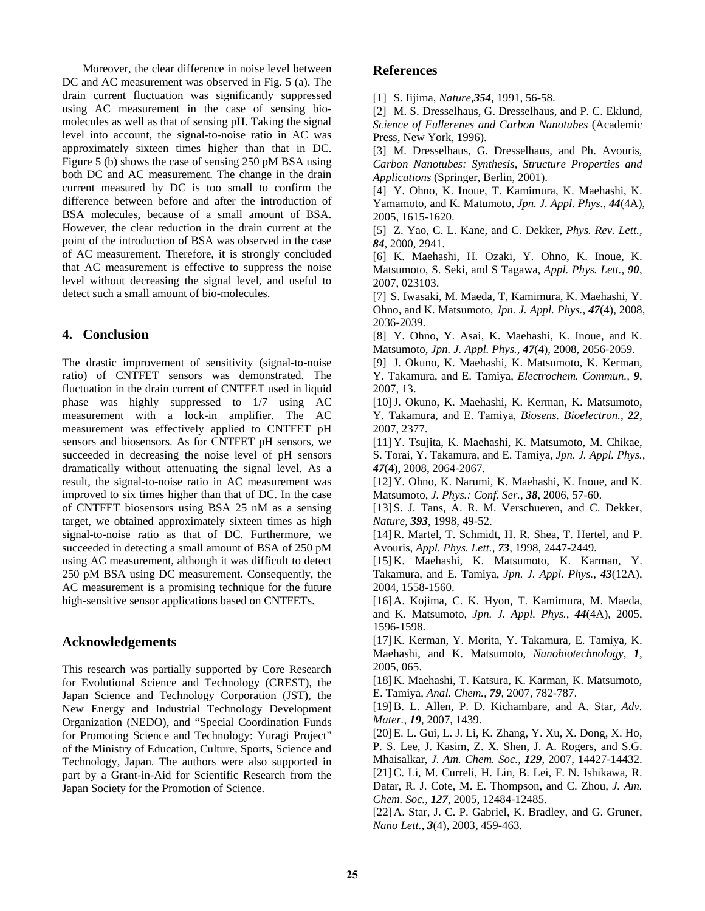Moreover, the clear difference in noise level between DC and AC measurement was observed in Fig. 5 (a). The drain current fluctuation was significantly suppressed using AC measurement in the case of sensing biomolecules as well as that of sensing pH. Taking the signal level into account, the signal-to-noise ratio in AC was approximately sixteen times higher than that in DC. Figure 5 (b) shows the case of sensing 250 pM BSA using both DC and AC measurement. The change in the drain current measured by DC is too small to confirm the difference between before and after the introduction of BSA molecules, because of a small amount of BSA. However, the clear reduction in the drain current at the point of the introduction of BSA was observed in the case of AC measurement. Therefore, it is strongly concluded that AC measurement is effective to suppress the noise level without decreasing the signal level, and useful to detect such a small amount of bio-molecules.

## **4. Conclusion**

The drastic improvement of sensitivity (signal-to-noise ratio) of CNTFET sensors was demonstrated. The fluctuation in the drain current of CNTFET used in liquid phase was highly suppressed to 1/7 using AC measurement with a lock-in amplifier. The AC measurement was effectively applied to CNTFET pH sensors and biosensors. As for CNTFET pH sensors, we succeeded in decreasing the noise level of pH sensors dramatically without attenuating the signal level. As a result, the signal-to-noise ratio in AC measurement was improved to six times higher than that of DC. In the case of CNTFET biosensors using BSA 25 nM as a sensing target, we obtained approximately sixteen times as high signal-to-noise ratio as that of DC. Furthermore, we succeeded in detecting a small amount of BSA of 250 pM using AC measurement, although it was difficult to detect 250 pM BSA using DC measurement. Consequently, the AC measurement is a promising technique for the future high-sensitive sensor applications based on CNTFETs.

## **Acknowledgements**

This research was partially supported by Core Research for Evolutional Science and Technology (CREST), the Japan Science and Technology Corporation (JST), the New Energy and Industrial Technology Development Organization (NEDO), and "Special Coordination Funds for Promoting Science and Technology: Yuragi Project" of the Ministry of Education, Culture, Sports, Science and Technology, Japan. The authors were also supported in part by a Grant-in-Aid for Scientific Research from the Japan Society for the Promotion of Science.

## **References**

[1] S. Iijima, *Nature,354*, 1991, 56-58.

[2] M. S. Dresselhaus, G. Dresselhaus, and P. C. Eklund, *Science of Fullerenes and Carbon Nanotubes* (Academic Press, New York, 1996).

[3] M. Dresselhaus, G. Dresselhaus, and Ph. Avouris, *Carbon Nanotubes: Synthesis, Structure Properties and Applications* (Springer, Berlin, 2001).

[4] Y. Ohno, K. Inoue, T. Kamimura, K. Maehashi, K. Yamamoto, and K. Matumoto, *Jpn. J. Appl. Phys., 44*(4A), 2005, 1615-1620.

[5] Z. Yao, C. L. Kane, and C. Dekker, *Phys. Rev. Lett., 84*, 2000, 2941.

[6] K. Maehashi, H. Ozaki, Y. Ohno, K. Inoue, K. Matsumoto, S. Seki, and S Tagawa, *Appl. Phys. Lett., 90*, 2007, 023103.

[7] S. Iwasaki, M. Maeda, T, Kamimura, K. Maehashi, Y. Ohno, and K. Matsumoto, *Jpn. J. Appl. Phys., 47*(4), 2008, 2036-2039.

[8] Y. Ohno, Y. Asai, K. Maehashi, K. Inoue, and K. Matsumoto, *Jpn. J. Appl. Phys., 47*(4), 2008, 2056-2059.

[9] J. Okuno, K. Maehashi, K. Matsumoto, K. Kerman, Y. Takamura, and E. Tamiya, *Electrochem. Commun., 9*, 2007, 13.

[10] J. Okuno, K. Maehashi, K. Kerman, K. Matsumoto, Y. Takamura, and E. Tamiya, *Biosens. Bioelectron., 22*, 2007, 2377.

[11] Y. Tsujita, K. Maehashi, K. Matsumoto, M. Chikae, S. Torai, Y. Takamura, and E. Tamiya, *Jpn. J. Appl. Phys., 47*(4), 2008, 2064-2067.

[12] Y. Ohno, K. Narumi, K. Maehashi, K. Inoue, and K. Matsumoto, *J. Phys.: Conf. Ser., 38*, 2006, 57-60.

[13] S. J. Tans, A. R. M. Verschueren, and C. Dekker, *Nature, 393*, 1998, 49-52.

[14] R. Martel, T. Schmidt, H. R. Shea, T. Hertel, and P. Avouris, *Appl. Phys. Lett., 73*, 1998, 2447-2449.

[15] K. Maehashi, K. Matsumoto, K. Karman, Y. Takamura, and E. Tamiya, *Jpn. J. Appl. Phys., 43*(12A), 2004, 1558-1560.

[16] A. Kojima, C. K. Hyon, T. Kamimura, M. Maeda, and K. Matsumoto, *Jpn. J. Appl. Phys., 44*(4A), 2005, 1596-1598.

[17] K. Kerman, Y. Morita, Y. Takamura, E. Tamiya, K. Maehashi, and K. Matsumoto, *Nanobiotechnology, 1*, 2005, 065.

[18] K. Maehashi, T. Katsura, K. Karman, K. Matsumoto, E. Tamiya, *Anal. Chem., 79*, 2007, 782-787.

[19] B. L. Allen, P. D. Kichambare, and A. Star, *Adv. Mater., 19*, 2007, 1439.

[20] E. L. Gui, L. J. Li, K. Zhang, Y. Xu, X. Dong, X. Ho, P. S. Lee, J. Kasim, Z. X. Shen, J. A. Rogers, and S.G. Mhaisalkar, *J. Am. Chem. Soc., 129*, 2007, 14427-14432.

[21] C. Li, M. Curreli, H. Lin, B. Lei, F. N. Ishikawa, R. Datar, R. J. Cote, M. E. Thompson, and C. Zhou, *J. Am. Chem. Soc., 127*, 2005, 12484-12485.

[22] A. Star, J. C. P. Gabriel, K. Bradley, and G. Gruner, *Nano Lett., 3*(4), 2003, 459-463.